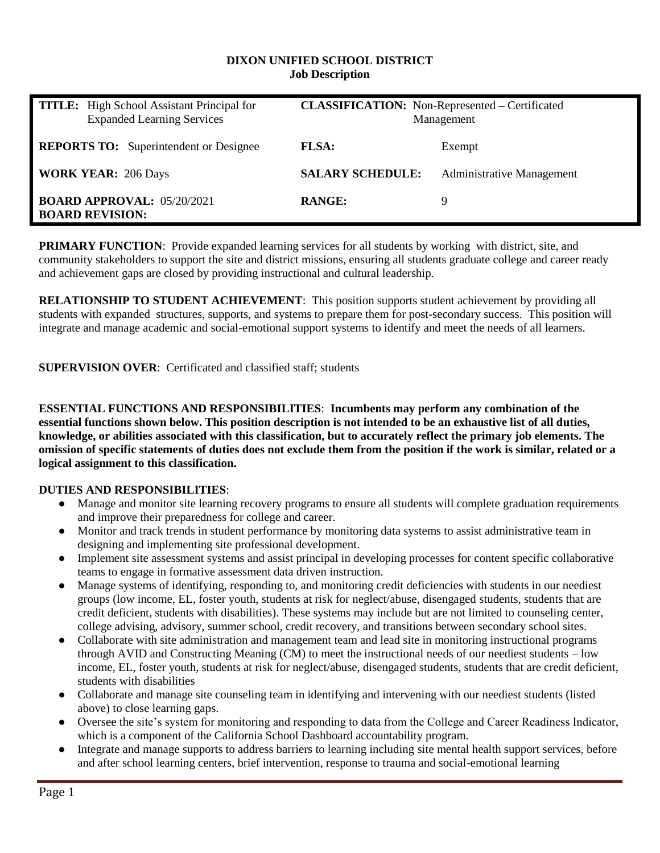#### **DIXON UNIFIED SCHOOL DISTRICT Job Description**

| <b>TITLE:</b> High School Assistant Principal for<br><b>Expanded Learning Services</b> | <b>CLASSIFICATION:</b> Non-Represented – Certificated<br>Management |                                  |
|----------------------------------------------------------------------------------------|---------------------------------------------------------------------|----------------------------------|
| <b>REPORTS TO:</b> Superintendent or Designee                                          | <b>FLSA:</b>                                                        | Exempt                           |
| <b>WORK YEAR: 206 Days</b>                                                             | <b>SALARY SCHEDULE:</b>                                             | <b>Administrative Management</b> |
| <b>BOARD APPROVAL: 05/20/2021</b><br><b>BOARD REVISION:</b>                            | <b>RANGE:</b>                                                       | Ч                                |

**PRIMARY FUNCTION:** Provide expanded learning services for all students by working with district, site, and community stakeholders to support the site and district missions, ensuring all students graduate college and career ready and achievement gaps are closed by providing instructional and cultural leadership.

**RELATIONSHIP TO STUDENT ACHIEVEMENT**: This position supports student achievement by providing all students with expanded structures, supports, and systems to prepare them for post-secondary success. This position will integrate and manage academic and social-emotional support systems to identify and meet the needs of all learners.

**SUPERVISION OVER**: Certificated and classified staff; students

**ESSENTIAL FUNCTIONS AND RESPONSIBILITIES**: **Incumbents may perform any combination of the essential functions shown below. This position description is not intended to be an exhaustive list of all duties, knowledge, or abilities associated with this classification, but to accurately reflect the primary job elements. The omission of specific statements of duties does not exclude them from the position if the work is similar, related or a logical assignment to this classification.**

## **DUTIES AND RESPONSIBILITIES**:

- Manage and monitor site learning recovery programs to ensure all students will complete graduation requirements and improve their preparedness for college and career.
- Monitor and track trends in student performance by monitoring data systems to assist administrative team in designing and implementing site professional development.
- Implement site assessment systems and assist principal in developing processes for content specific collaborative teams to engage in formative assessment data driven instruction.
- Manage systems of identifying, responding to, and monitoring credit deficiencies with students in our neediest groups (low income, EL, foster youth, students at risk for neglect/abuse, disengaged students, students that are credit deficient, students with disabilities). These systems may include but are not limited to counseling center, college advising, advisory, summer school, credit recovery, and transitions between secondary school sites.
- Collaborate with site administration and management team and lead site in monitoring instructional programs through AVID and Constructing Meaning (CM) to meet the instructional needs of our neediest students – low income, EL, foster youth, students at risk for neglect/abuse, disengaged students, students that are credit deficient, students with disabilities
- Collaborate and manage site counseling team in identifying and intervening with our neediest students (listed above) to close learning gaps.
- Oversee the site's system for monitoring and responding to data from the College and Career Readiness Indicator, which is a component of the California School Dashboard accountability program.
- Integrate and manage supports to address barriers to learning including site mental health support services, before and after school learning centers, brief intervention, response to trauma and social-emotional learning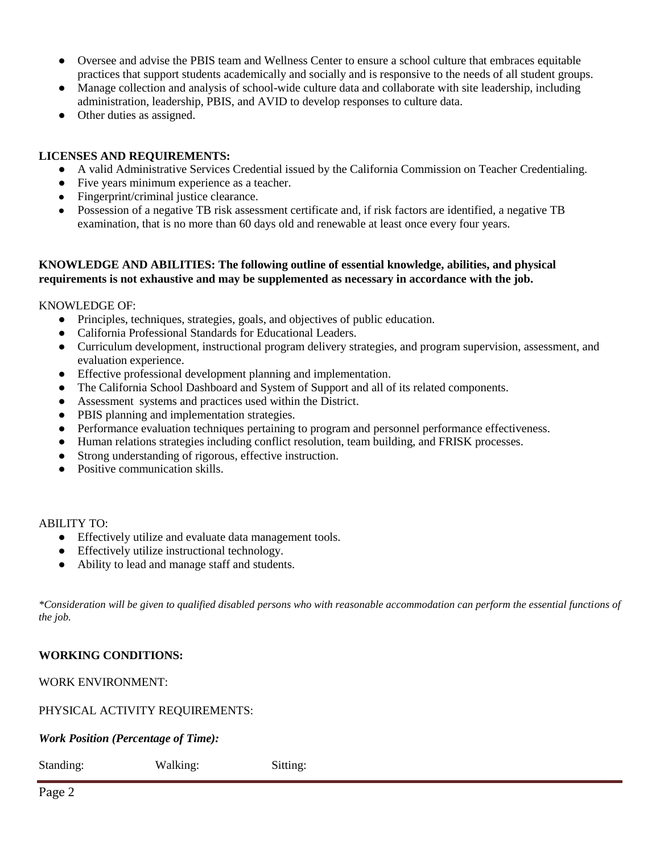- Oversee and advise the PBIS team and Wellness Center to ensure a school culture that embraces equitable practices that support students academically and socially and is responsive to the needs of all student groups.
- Manage collection and analysis of school-wide culture data and collaborate with site leadership, including administration, leadership, PBIS, and AVID to develop responses to culture data.
- Other duties as assigned.

### **LICENSES AND REQUIREMENTS:**

- A valid Administrative Services Credential issued by the California Commission on Teacher Credentialing.
- Five years minimum experience as a teacher.
- Fingerprint/criminal justice clearance.
- Possession of a negative TB risk assessment certificate and, if risk factors are identified, a negative TB examination, that is no more than 60 days old and renewable at least once every four years.

#### **KNOWLEDGE AND ABILITIES: The following outline of essential knowledge, abilities, and physical requirements is not exhaustive and may be supplemented as necessary in accordance with the job.**

KNOWLEDGE OF:

- Principles, techniques, strategies, goals, and objectives of public education.
- California Professional Standards for Educational Leaders.
- Curriculum development, instructional program delivery strategies, and program supervision, assessment, and evaluation experience.
- Effective professional development planning and implementation.
- The California School Dashboard and System of Support and all of its related components.
- Assessment systems and practices used within the District.
- PBIS planning and implementation strategies.
- Performance evaluation techniques pertaining to program and personnel performance effectiveness.
- Human relations strategies including conflict resolution, team building, and FRISK processes.
- Strong understanding of rigorous, effective instruction.
- Positive communication skills.

ABILITY TO:

- Effectively utilize and evaluate data management tools.
- Effectively utilize instructional technology.
- Ability to lead and manage staff and students.

*\*Consideration will be given to qualified disabled persons who with reasonable accommodation can perform the essential functions of the job.* 

## **WORKING CONDITIONS:**

WORK ENVIRONMENT:

#### PHYSICAL ACTIVITY REQUIREMENTS:

*Work Position (Percentage of Time):* 

| Standing: | Walking: | Sitting: |
|-----------|----------|----------|
|           |          |          |